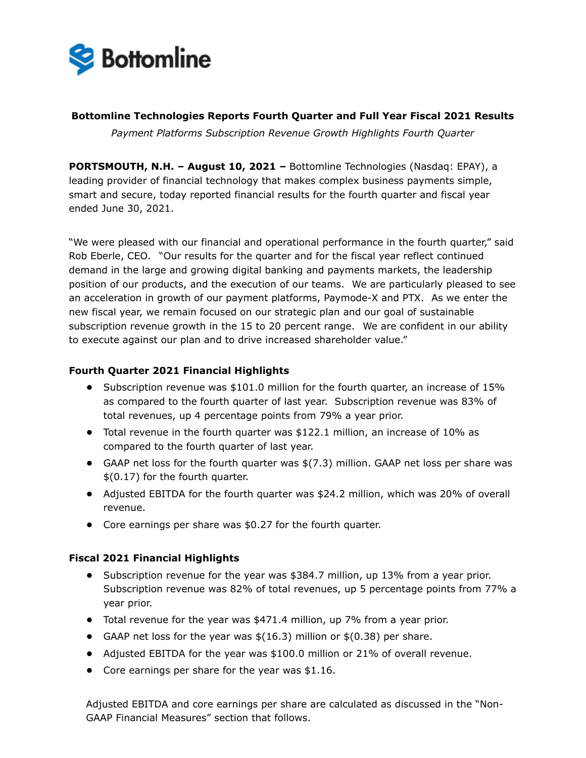

**Bottomline Technologies Reports Fourth Quarter and Full Year Fiscal 2021 Results** 

*Payment Platforms Subscription Revenue Growth Highlights Fourth Quarter*

**PORTSMOUTH, N.H. – August 10, 2021 –** Bottomline Technologies (Nasdaq: EPAY), a leading provider of financial technology that makes complex business payments simple, smart and secure, today reported financial results for the fourth quarter and fiscal year ended June 30, 2021.

"We were pleased with our financial and operational performance in the fourth quarter," said Rob Eberle, CEO. "Our results for the quarter and for the fiscal year reflect continued demand in the large and growing digital banking and payments markets, the leadership position of our products, and the execution of our teams. We are particularly pleased to see an acceleration in growth of our payment platforms, Paymode-X and PTX. As we enter the new fiscal year, we remain focused on our strategic plan and our goal of sustainable subscription revenue growth in the 15 to 20 percent range. We are confident in our ability to execute against our plan and to drive increased shareholder value."

# **Fourth Quarter 2021 Financial Highlights**

- **•** Subscription revenue was \$101.0 million for the fourth quarter, an increase of 15% as compared to the fourth quarter of last year. Subscription revenue was 83% of total revenues, up 4 percentage points from 79% a year prior.
- **•** Total revenue in the fourth quarter was \$122.1 million, an increase of 10% as compared to the fourth quarter of last year.
- **•** GAAP net loss for the fourth quarter was \$(7.3) million. GAAP net loss per share was \$(0.17) for the fourth quarter.
- **•** Adjusted EBITDA for the fourth quarter was \$24.2 million, which was 20% of overall revenue.
- **•** Core earnings per share was \$0.27 for the fourth quarter.

# **Fiscal 2021 Financial Highlights**

- **•** Subscription revenue for the year was \$384.7 million, up 13% from a year prior. Subscription revenue was 82% of total revenues, up 5 percentage points from 77% a year prior.
- **•** Total revenue for the year was \$471.4 million, up 7% from a year prior.
- **•** GAAP net loss for the year was \$(16.3) million or \$(0.38) per share.
- **•** Adjusted EBITDA for the year was \$100.0 million or 21% of overall revenue.
- **•** Core earnings per share for the year was \$1.16.

Adjusted EBITDA and core earnings per share are calculated as discussed in the "Non-GAAP Financial Measures" section that follows.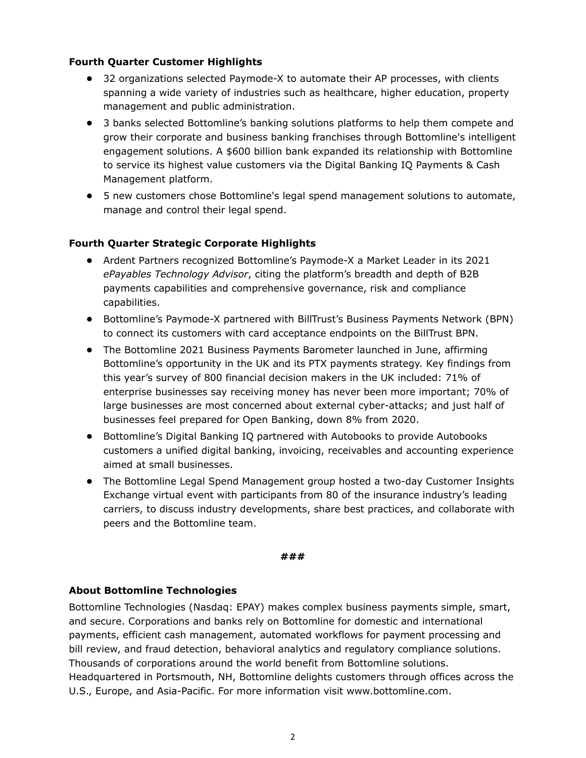## **Fourth Quarter Customer Highlights**

- **•** 32 organizations selected Paymode-X to automate their AP processes, with clients spanning a wide variety of industries such as healthcare, higher education, property management and public administration.
- **•** 3 banks selected Bottomline's banking solutions platforms to help them compete and grow their corporate and business banking franchises through Bottomline's intelligent engagement solutions. A \$600 billion bank expanded its relationship with Bottomline to service its highest value customers via the Digital Banking IQ Payments & Cash Management platform.
- **•** 5 new customers chose Bottomline's legal spend management solutions to automate, manage and control their legal spend.

# **Fourth Quarter Strategic Corporate Highlights**

- **•** Ardent Partners recognized Bottomline's Paymode-X a Market Leader in its 2021 *ePayables Technology Advisor*, citing the platform's breadth and depth of B2B payments capabilities and comprehensive governance, risk and compliance capabilities.
- **•** Bottomline's Paymode-X partnered with BillTrust's Business Payments Network (BPN) to connect its customers with card acceptance endpoints on the BillTrust BPN.
- **•** The Bottomline 2021 Business Payments Barometer launched in June, affirming Bottomline's opportunity in the UK and its PTX payments strategy. Key findings from this year's survey of 800 financial decision makers in the UK included: 71% of enterprise businesses say receiving money has never been more important; 70% of large businesses are most concerned about external cyber-attacks; and just half of businesses feel prepared for Open Banking, down 8% from 2020.
- **•** Bottomline's Digital Banking IQ partnered with Autobooks to provide Autobooks customers a unified digital banking, invoicing, receivables and accounting experience aimed at small businesses.
- **•** The Bottomline Legal Spend Management group hosted a two-day Customer Insights Exchange virtual event with participants from 80 of the insurance industry's leading carriers, to discuss industry developments, share best practices, and collaborate with peers and the Bottomline team.

#### **###**

# **About Bottomline Technologies**

Bottomline Technologies (Nasdaq: EPAY) makes complex business payments simple, smart, and secure. Corporations and banks rely on Bottomline for domestic and international payments, efficient cash management, automated workflows for payment processing and bill review, and fraud detection, behavioral analytics and regulatory compliance solutions. Thousands of corporations around the world benefit from Bottomline solutions. Headquartered in Portsmouth, NH, Bottomline delights customers through offices across the U.S., Europe, and Asia-Pacific. For more information visit www.bottomline.com.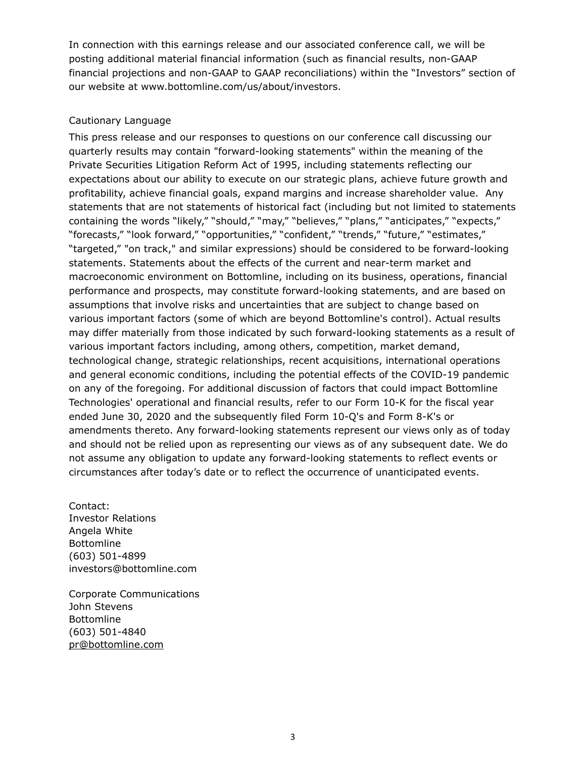In connection with this earnings release and our associated conference call, we will be posting additional material financial information (such as financial results, non-GAAP financial projections and non-GAAP to GAAP reconciliations) within the "Investors" section of our website at www.bottomline.com/us/about/investors.

# Cautionary Language

This press release and our responses to questions on our conference call discussing our quarterly results may contain "forward-looking statements" within the meaning of the Private Securities Litigation Reform Act of 1995, including statements reflecting our expectations about our ability to execute on our strategic plans, achieve future growth and profitability, achieve financial goals, expand margins and increase shareholder value. Any statements that are not statements of historical fact (including but not limited to statements containing the words "likely," "should," "may," "believes," "plans," "anticipates," "expects," "forecasts," "look forward," "opportunities," "confident," "trends," "future," "estimates," "targeted," "on track," and similar expressions) should be considered to be forward-looking statements. Statements about the effects of the current and near-term market and macroeconomic environment on Bottomline, including on its business, operations, financial performance and prospects, may constitute forward-looking statements, and are based on assumptions that involve risks and uncertainties that are subject to change based on various important factors (some of which are beyond Bottomline's control). Actual results may differ materially from those indicated by such forward-looking statements as a result of various important factors including, among others, competition, market demand, technological change, strategic relationships, recent acquisitions, international operations and general economic conditions, including the potential effects of the COVID-19 pandemic on any of the foregoing. For additional discussion of factors that could impact Bottomline Technologies' operational and financial results, refer to our Form 10-K for the fiscal year ended June 30, 2020 and the subsequently filed Form 10-Q's and Form 8-K's or amendments thereto. Any forward-looking statements represent our views only as of today and should not be relied upon as representing our views as of any subsequent date. We do not assume any obligation to update any forward-looking statements to reflect events or circumstances after today's date or to reflect the occurrence of unanticipated events.

Contact: Investor Relations Angela White Bottomline (603) 501-4899 investors@bottomline.com

Corporate Communications John Stevens Bottomline (603) 501-4840 pr@bottomline.com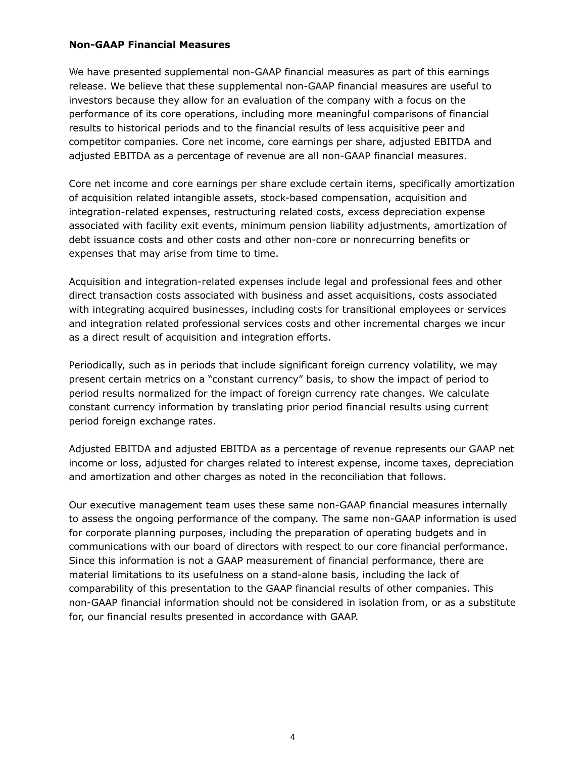### **Non-GAAP Financial Measures**

We have presented supplemental non-GAAP financial measures as part of this earnings release. We believe that these supplemental non-GAAP financial measures are useful to investors because they allow for an evaluation of the company with a focus on the performance of its core operations, including more meaningful comparisons of financial results to historical periods and to the financial results of less acquisitive peer and competitor companies. Core net income, core earnings per share, adjusted EBITDA and adjusted EBITDA as a percentage of revenue are all non-GAAP financial measures.

Core net income and core earnings per share exclude certain items, specifically amortization of acquisition related intangible assets, stock-based compensation, acquisition and integration-related expenses, restructuring related costs, excess depreciation expense associated with facility exit events, minimum pension liability adjustments, amortization of debt issuance costs and other costs and other non-core or nonrecurring benefits or expenses that may arise from time to time.

Acquisition and integration-related expenses include legal and professional fees and other direct transaction costs associated with business and asset acquisitions, costs associated with integrating acquired businesses, including costs for transitional employees or services and integration related professional services costs and other incremental charges we incur as a direct result of acquisition and integration efforts.

Periodically, such as in periods that include significant foreign currency volatility, we may present certain metrics on a "constant currency" basis, to show the impact of period to period results normalized for the impact of foreign currency rate changes. We calculate constant currency information by translating prior period financial results using current period foreign exchange rates.

Adjusted EBITDA and adjusted EBITDA as a percentage of revenue represents our GAAP net income or loss, adjusted for charges related to interest expense, income taxes, depreciation and amortization and other charges as noted in the reconciliation that follows.

Our executive management team uses these same non-GAAP financial measures internally to assess the ongoing performance of the company. The same non-GAAP information is used for corporate planning purposes, including the preparation of operating budgets and in communications with our board of directors with respect to our core financial performance. Since this information is not a GAAP measurement of financial performance, there are material limitations to its usefulness on a stand-alone basis, including the lack of comparability of this presentation to the GAAP financial results of other companies. This non-GAAP financial information should not be considered in isolation from, or as a substitute for, our financial results presented in accordance with GAAP.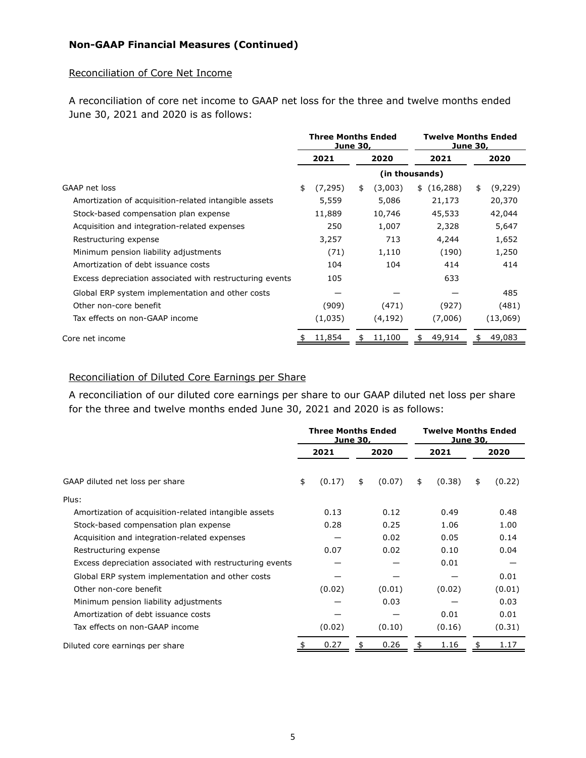# **Non-GAAP Financial Measures (Continued)**

#### Reconciliation of Core Net Income

A reconciliation of core net income to GAAP net loss for the three and twelve months ended June 30, 2021 and 2020 is as follows:

|                                                          | <b>Three Months Ended</b><br><b>June 30,</b> |              |    | <b>Twelve Months Ended</b><br><b>June 30,</b> |  |             |    |          |
|----------------------------------------------------------|----------------------------------------------|--------------|----|-----------------------------------------------|--|-------------|----|----------|
|                                                          |                                              | 2021<br>2020 |    | 2021                                          |  | 2020        |    |          |
|                                                          |                                              |              |    | (in thousands)                                |  |             |    |          |
| GAAP net loss                                            | \$                                           | (7, 295)     | \$ | (3,003)                                       |  | \$(16, 288) | \$ | (9,229)  |
| Amortization of acquisition-related intangible assets    |                                              | 5,559        |    | 5,086                                         |  | 21,173      |    | 20,370   |
| Stock-based compensation plan expense                    |                                              | 11,889       |    | 10,746                                        |  | 45,533      |    | 42,044   |
| Acquisition and integration-related expenses             |                                              | 250          |    | 1,007                                         |  | 2,328       |    | 5,647    |
| Restructuring expense                                    |                                              | 3,257        |    | 713                                           |  | 4,244       |    | 1,652    |
| Minimum pension liability adjustments                    |                                              | (71)         |    | 1,110                                         |  | (190)       |    | 1,250    |
| Amortization of debt issuance costs                      |                                              | 104          |    | 104                                           |  | 414         |    | 414      |
| Excess depreciation associated with restructuring events |                                              | 105          |    |                                               |  | 633         |    |          |
| Global ERP system implementation and other costs         |                                              |              |    |                                               |  |             |    | 485      |
| Other non-core benefit                                   |                                              | (909)        |    | (471)                                         |  | (927)       |    | (481)    |
| Tax effects on non-GAAP income                           |                                              | (1,035)      |    | (4, 192)                                      |  | (7,006)     |    | (13,069) |
| Core net income                                          |                                              | 11,854       |    | 11,100                                        |  | 49,914      |    | 49,083   |

## Reconciliation of Diluted Core Earnings per Share

A reconciliation of our diluted core earnings per share to our GAAP diluted net loss per share for the three and twelve months ended June 30, 2021 and 2020 is as follows:

|                                                          | <b>Three Months Ended</b><br>June 30, |        |      | <b>Twelve Months Ended</b><br>June 30, |      |        |      |        |
|----------------------------------------------------------|---------------------------------------|--------|------|----------------------------------------|------|--------|------|--------|
|                                                          |                                       | 2021   | 2020 |                                        | 2021 |        | 2020 |        |
| GAAP diluted net loss per share                          | \$                                    | (0.17) | \$   | (0.07)                                 | \$   | (0.38) | \$   | (0.22) |
| Plus:                                                    |                                       |        |      |                                        |      |        |      |        |
| Amortization of acquisition-related intangible assets    |                                       | 0.13   |      | 0.12                                   |      | 0.49   |      | 0.48   |
| Stock-based compensation plan expense                    |                                       | 0.28   |      | 0.25                                   |      | 1.06   |      | 1.00   |
| Acquisition and integration-related expenses             |                                       |        |      | 0.02                                   |      | 0.05   |      | 0.14   |
| Restructuring expense                                    |                                       | 0.07   |      | 0.02                                   |      | 0.10   |      | 0.04   |
| Excess depreciation associated with restructuring events |                                       |        |      |                                        |      | 0.01   |      |        |
| Global ERP system implementation and other costs         |                                       |        |      |                                        |      |        |      | 0.01   |
| Other non-core benefit                                   |                                       | (0.02) |      | (0.01)                                 |      | (0.02) |      | (0.01) |
| Minimum pension liability adjustments                    |                                       |        |      | 0.03                                   |      |        |      | 0.03   |
| Amortization of debt issuance costs                      |                                       |        |      |                                        |      | 0.01   |      | 0.01   |
| Tax effects on non-GAAP income                           |                                       | (0.02) |      | (0.10)                                 |      | (0.16) |      | (0.31) |
| Diluted core earnings per share                          |                                       | 0.27   |      | 0.26                                   |      | 1.16   |      | 1.17   |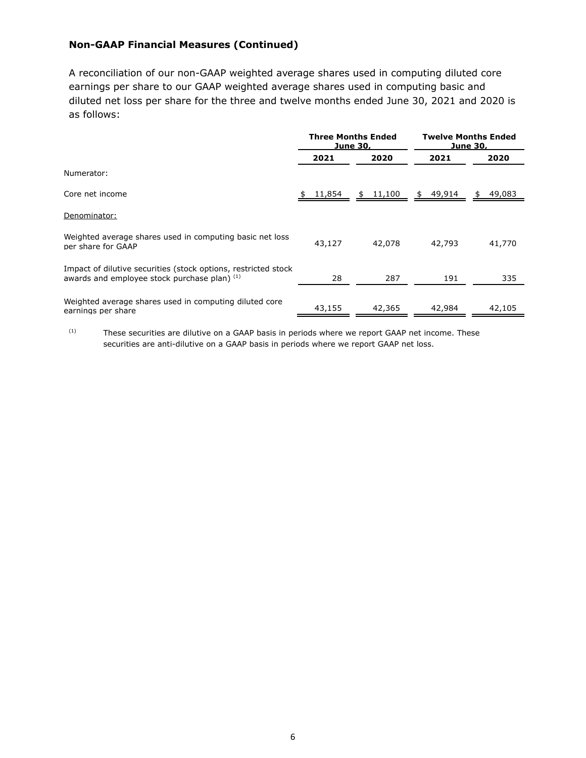# **Non-GAAP Financial Measures (Continued)**

A reconciliation of our non-GAAP weighted average shares used in computing diluted core earnings per share to our GAAP weighted average shares used in computing basic and diluted net loss per share for the three and twelve months ended June 30, 2021 and 2020 is as follows:

|                                                                                                                |          | <b>Three Months Ended</b><br>June 30, | <b>Twelve Months Ended</b><br><u>June 3</u> 0, |              |  |  |
|----------------------------------------------------------------------------------------------------------------|----------|---------------------------------------|------------------------------------------------|--------------|--|--|
|                                                                                                                | 2021     | 2020                                  | 2021                                           | 2020         |  |  |
| Numerator:                                                                                                     |          |                                       |                                                |              |  |  |
| Core net income                                                                                                | \$11,854 | $$11,100$ $$49,914$                   |                                                | 49,083<br>\$ |  |  |
| Denominator:                                                                                                   |          |                                       |                                                |              |  |  |
| Weighted average shares used in computing basic net loss<br>per share for GAAP                                 | 43,127   | 42,078                                | 42,793                                         | 41,770       |  |  |
| Impact of dilutive securities (stock options, restricted stock<br>awards and employee stock purchase plan) (1) | 28       | 287                                   | 191                                            | 335          |  |  |
| Weighted average shares used in computing diluted core<br>earnings per share                                   | 43,155   | 42,365                                | 42,984                                         | 42,105       |  |  |

 $(1)$  These securities are dilutive on a GAAP basis in periods where we report GAAP net income. These securities are anti-dilutive on a GAAP basis in periods where we report GAAP net loss.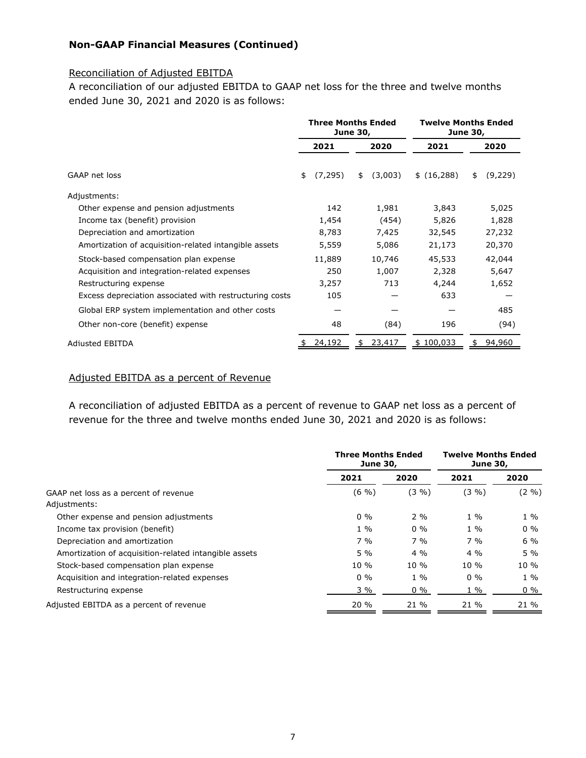# **Non-GAAP Financial Measures (Continued)**

### Reconciliation of Adjusted EBITDA

A reconciliation of our adjusted EBITDA to GAAP net loss for the three and twelve months ended June 30, 2021 and 2020 is as follows:

|                                                         | <b>Three Months Ended</b><br><b>June 30,</b> |          |      | <b>Twelve Months Ended</b><br><b>June 30,</b> |             |      |         |
|---------------------------------------------------------|----------------------------------------------|----------|------|-----------------------------------------------|-------------|------|---------|
|                                                         |                                              | 2021     | 2020 |                                               | 2021        | 2020 |         |
| GAAP net loss                                           | \$                                           | (7, 295) | \$   | (3,003)                                       | \$(16, 288) | \$   | (9,229) |
| Adjustments:                                            |                                              |          |      |                                               |             |      |         |
| Other expense and pension adjustments                   |                                              | 142      |      | 1,981                                         | 3,843       |      | 5,025   |
| Income tax (benefit) provision                          |                                              | 1,454    |      | (454)                                         | 5,826       |      | 1,828   |
| Depreciation and amortization                           |                                              | 8,783    |      | 7,425                                         | 32,545      |      | 27,232  |
| Amortization of acquisition-related intangible assets   |                                              | 5,559    |      | 5,086                                         | 21,173      |      | 20,370  |
| Stock-based compensation plan expense                   |                                              | 11,889   |      | 10,746                                        | 45,533      |      | 42,044  |
| Acquisition and integration-related expenses            |                                              | 250      |      | 1,007                                         | 2,328       |      | 5,647   |
| Restructuring expense                                   |                                              | 3,257    |      | 713                                           | 4,244       |      | 1,652   |
| Excess depreciation associated with restructuring costs |                                              | 105      |      |                                               | 633         |      |         |
| Global ERP system implementation and other costs        |                                              |          |      |                                               |             |      | 485     |
| Other non-core (benefit) expense                        |                                              | 48       |      | (84)                                          | 196         |      | (94)    |
| <b>Adjusted EBITDA</b>                                  |                                              | 24,192   |      | 23,417                                        | \$100,033   |      | 94,960  |

#### Adjusted EBITDA as a percent of Revenue

A reconciliation of adjusted EBITDA as a percent of revenue to GAAP net loss as a percent of revenue for the three and twelve months ended June 30, 2021 and 2020 is as follows:

|                                                       | <b>Three Months Ended</b><br><b>June 30,</b> | <b>Twelve Months Ended</b><br><b>June 30,</b> |        |            |  |
|-------------------------------------------------------|----------------------------------------------|-----------------------------------------------|--------|------------|--|
|                                                       | 2021                                         | 2020                                          | 2021   | 2020       |  |
| GAAP net loss as a percent of revenue                 | $(6 \frac{9}{6})$                            | $(3\% )$                                      | (3, 9) | $(2 \, 9)$ |  |
| Adjustments:                                          |                                              |                                               |        |            |  |
| Other expense and pension adjustments                 | $0\%$                                        | $2\%$                                         | $1\%$  | $1\%$      |  |
| Income tax provision (benefit)                        | $1\%$                                        | $0\%$                                         | $1\%$  | $0\%$      |  |
| Depreciation and amortization                         | $7\%$                                        | $7\%$                                         | $7\%$  | $6\%$      |  |
| Amortization of acquisition-related intangible assets | $5\%$                                        | $4\%$                                         | $4\%$  | $5\%$      |  |
| Stock-based compensation plan expense                 | $10\%$                                       | $10\%$                                        | $10\%$ | $10\%$     |  |
| Acquisition and integration-related expenses          | $0\%$                                        | $1\%$                                         | $0\%$  | $1\%$      |  |
| Restructuring expense                                 | $3\%$                                        | $0\%$                                         | $1\%$  | $0\%$      |  |
| Adjusted EBITDA as a percent of revenue               | 20%                                          | 21 %                                          | 21 %   | 21 %       |  |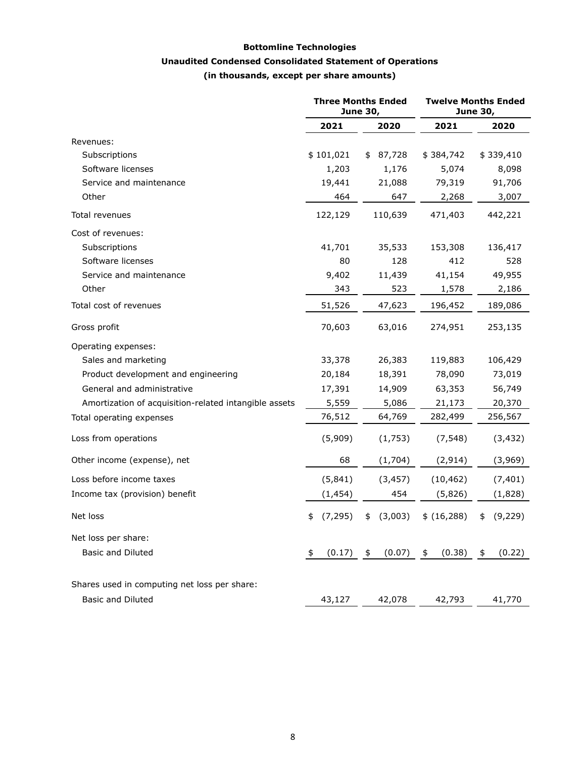## **Bottomline Technologies**

## **Unaudited Condensed Consolidated Statement of Operations**

**(in thousands, except per share amounts)**

|                                                       |                | <b>Three Months Ended</b><br><b>June 30,</b> | <b>Twelve Months Ended</b><br><b>June 30,</b> |                |  |  |
|-------------------------------------------------------|----------------|----------------------------------------------|-----------------------------------------------|----------------|--|--|
|                                                       | 2021           | 2020                                         | 2021                                          | 2020           |  |  |
| Revenues:                                             |                |                                              |                                               |                |  |  |
| Subscriptions                                         | \$101,021      | 87,728<br>\$                                 | \$384,742                                     | \$339,410      |  |  |
| Software licenses                                     | 1,203          | 1,176                                        | 5,074                                         | 8,098          |  |  |
| Service and maintenance                               | 19,441         | 21,088                                       | 79,319                                        | 91,706         |  |  |
| Other                                                 | 464            | 647                                          | 2,268                                         | 3,007          |  |  |
| Total revenues                                        | 122,129        | 110,639                                      | 471,403                                       | 442,221        |  |  |
| Cost of revenues:                                     |                |                                              |                                               |                |  |  |
| Subscriptions                                         | 41,701         | 35,533                                       | 153,308                                       | 136,417        |  |  |
| Software licenses                                     | 80             | 128                                          | 412                                           | 528            |  |  |
| Service and maintenance                               | 9,402          | 11,439                                       | 41,154                                        | 49,955         |  |  |
| Other                                                 | 343            | 523                                          | 1,578                                         | 2,186          |  |  |
| Total cost of revenues                                | 51,526         | 47,623                                       | 196,452                                       | 189,086        |  |  |
| Gross profit                                          | 70,603         | 63,016                                       | 274,951                                       | 253,135        |  |  |
| Operating expenses:                                   |                |                                              |                                               |                |  |  |
| Sales and marketing                                   | 33,378         | 26,383                                       | 119,883                                       | 106,429        |  |  |
| Product development and engineering                   | 20,184         | 18,391                                       | 78,090                                        | 73,019         |  |  |
| General and administrative                            | 17,391         | 14,909                                       | 63,353                                        | 56,749         |  |  |
| Amortization of acquisition-related intangible assets | 5,559          | 5,086                                        | 21,173                                        | 20,370         |  |  |
| Total operating expenses                              | 76,512         | 64,769                                       | 282,499                                       | 256,567        |  |  |
| Loss from operations                                  | (5,909)        | (1,753)                                      | (7, 548)                                      | (3, 432)       |  |  |
| Other income (expense), net                           | 68             | (1,704)                                      | (2, 914)                                      | (3,969)        |  |  |
| Loss before income taxes                              | (5, 841)       | (3, 457)                                     | (10, 462)                                     | (7, 401)       |  |  |
| Income tax (provision) benefit                        | (1, 454)       | 454                                          | (5,826)                                       | (1,828)        |  |  |
| Net loss                                              | (7, 295)<br>\$ | (3,003)<br>\$                                | \$ (16, 288)                                  | (9, 229)<br>\$ |  |  |
| Net loss per share:                                   |                |                                              |                                               |                |  |  |
| <b>Basic and Diluted</b>                              | (0.17)<br>\$   | (0.07)<br>\$                                 | (0.38)<br>\$                                  | (0.22)<br>\$   |  |  |
| Shares used in computing net loss per share:          |                |                                              |                                               |                |  |  |
| <b>Basic and Diluted</b>                              | 43,127         | 42,078                                       | 42,793                                        | 41,770         |  |  |